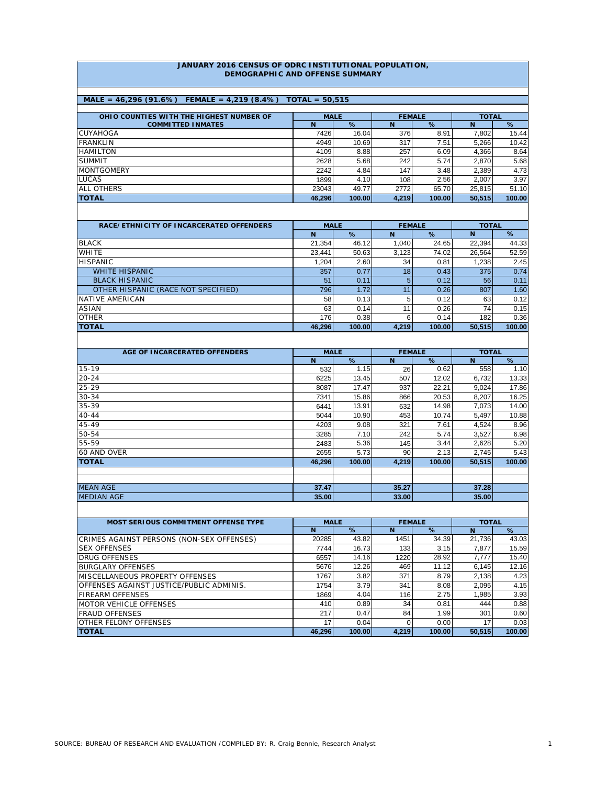#### **JANUARY 2016 CENSUS OF ODRC INSTITUTIONAL POPULATION, DEMOGRAPHIC AND OFFENSE SUMMARY**

### **MALE = 46,296 (91.6%) FEMALE = 4,219 (8.4%) TOTAL = 50,515**

| OHIO COUNTIES WITH THE HIGHEST NUMBER OF | <b>MALE</b> |        |       | <b>FEMALE</b> | <b>TOTAL</b> |        |
|------------------------------------------|-------------|--------|-------|---------------|--------------|--------|
| <b>COMMITTED INMATES</b>                 | N           | %      | N     | %             | N            | %      |
| <b>CUYAHOGA</b>                          | 7426        | 16.04  | 376   | 8.91          | 7.802        | 15.44  |
| <b>FRANKLIN</b>                          | 4949        | 10.69  | 317   | 7.51          | 5.266        | 10.42  |
| <b>HAMILTON</b>                          | 4109        | 8.88   | 257   | 6.09          | 4.366        | 8.64   |
| <b>SUMMIT</b>                            | 2628        | 5.68   | 242   | 5.74          | 2.870        | 5.68   |
| <b>MONTGOMERY</b>                        | 2242        | 4.84   | 147   | 3.48          | 2,389        | 4.73   |
| <b>LUCAS</b>                             | 1899        | 4.10   | 108   | 2.56          | 2.007        | 3.97   |
| <b>ALL OTHERS</b>                        | 23043       | 49.77  | 2772  | 65.70         | 25.815       | 51.10  |
| <b>TOTAL</b>                             | 46.296      | 100.00 | 4.219 | 100.00        | 50.515       | 100.00 |

| RACE/ETHNICITY OF INCARCERATED OFFENDERS | <b>MALE</b> |        | <b>FEMALE</b> |        | <b>TOTAL</b>    |        |  |
|------------------------------------------|-------------|--------|---------------|--------|-----------------|--------|--|
|                                          | N           | $\%$   | N             | %      | N               | %      |  |
| <b>BLACK</b>                             | 21.354      | 46.12  | 1.040         | 24.65  | 22.394          | 44.33  |  |
| <b>WHITE</b>                             | 23.441      | 50.63  | 3,123         | 74.02  | 26.564          | 52.59  |  |
| <b>HISPANIC</b>                          | 1.204       | 2.60   | 34            | 0.81   | 1.238           | 2.45   |  |
| <b>WHITE HISPANIC</b>                    | 357         | 0.77   | 18            | 0.43   | 375             | 0.74   |  |
| <b>BLACK HISPANIC</b>                    | 51          | 0.11   |               | 0.12   | 56              | 0.11   |  |
| OTHER HISPANIC (RACE NOT SPECIFIED)      | 796         | 1.72   |               | 0.26   | 807             | 1.60   |  |
| NATIVE AMERICAN                          | 58          | 0.13   |               | 0.12   | 63              | 0.12   |  |
| ASIAN                                    | 63          | 0.14   | 11            | 0.26   | 74 <sub>1</sub> | 0.15   |  |
| <b>OTHER</b>                             | 176         | 0.38   |               | 0.14   | 182             | 0.36   |  |
| <b>TOTAL</b>                             | 46.296      | 100.00 | 4.219         | 100.00 | 50.515          | 100.00 |  |

| AGE OF INCARCERATED OFFENDERS | <b>MALE</b> |        |       | <b>FEMALE</b> | <b>TOTAL</b>   |        |  |
|-------------------------------|-------------|--------|-------|---------------|----------------|--------|--|
|                               | N           | %      | N     | %             | N <sub>1</sub> | %      |  |
| $15 - 19$                     | 532         | 1.15   | 26    | 0.62          | 558            | 1.10   |  |
| $20 - 24$                     | 6225        | 13.45  | 507   | 12.02         | 6,732          | 13.33  |  |
| $25 - 29$                     | 8087        | 17.47  | 937   | 22.21         | 9,024          | 17.86  |  |
| $30 - 34$                     | 7341        | 15.86  | 866   | 20.53         | 8,207          | 16.25  |  |
| 35-39                         | 6441        | 13.91  | 632   | 14.98         | 7,073          | 14.00  |  |
| $40 - 44$                     | 5044        | 10.90  | 453   | 10.74         | 5,497          | 10.88  |  |
| 45-49                         | 4203        | 9.08   | 321   | 7.61          | 4,524          | 8.96   |  |
| 50-54                         | 3285        | 7.10   | 242   | 5.74          | 3,527          | 6.98   |  |
| 55-59                         | 2483        | 5.36   | 145   | 3.44          | 2,628          | 5.20   |  |
| 60 AND OVER                   | 2655        | 5.73   | 90    | 2.13          | 2,745          | 5.43   |  |
| <b>TOTAL</b>                  | 46,296      | 100.00 | 4,219 | 100.00        | 50,515         | 100.00 |  |
|                               |             |        |       |               |                |        |  |
|                               |             |        |       |               |                |        |  |
| <b>MEAN AGE</b>               | 37.47       |        | 35.27 |               | 37.28          |        |  |
| <b>MEDIAN AGE</b>             | 35,00       |        | 33.00 |               | 35.00          |        |  |

| MOST SERIOUS COMMITMENT OFFENSE TYPE      | <b>MALE</b> |        | <b>FEMALE</b> |        | <b>TOTAL</b> |        |
|-------------------------------------------|-------------|--------|---------------|--------|--------------|--------|
|                                           | N           | %      | N             | %      | N            | %      |
| CRIMES AGAINST PERSONS (NON-SEX OFFENSES) | 20285       | 43.82  | 1451          | 34.39  | 21.736       | 43.03  |
| <b>SEX OFFENSES</b>                       | 7744        | 16.73  | 133           | 3.15   | 7.877        | 15.59  |
| <b>DRUG OFFENSES</b>                      | 6557        | 14.16  | 1220          | 28.92  | 7.777        | 15.40  |
| <b>BURGLARY OFFENSES</b>                  | 5676        | 12.26  | 469           | 11.12  | 6.145        | 12.16  |
| IMISCELLANEOUS PROPERTY OFFENSES          | 1767        | 3.82   | 371           | 8.79   | 2.138        | 4.23   |
| OFFENSES AGAINST JUSTICE/PUBLIC ADMINIS.  | 1754        | 3.79   | 341           | 8.08   | 2.095        | 4.15   |
| <b>FIREARM OFFENSES</b>                   | 1869        | 4.04   | 116           | 2.75   | 1.985        | 3.93   |
| <b>MOTOR VEHICLE OFFENSES</b>             | 410         | 0.89   | 34            | 0.81   | 444          | 0.88   |
| <b>FRAUD OFFENSES</b>                     | 217         | 0.47   | 84            | 1.99   | 301          | 0.60   |
| <b>OTHER FELONY OFFENSES</b>              | 17          | 0.04   |               | 0.00   | 17           | 0.03   |
| <b>TOTAL</b>                              | 46.296      | 100.00 | 4.219         | 100.00 | 50.515       | 100.00 |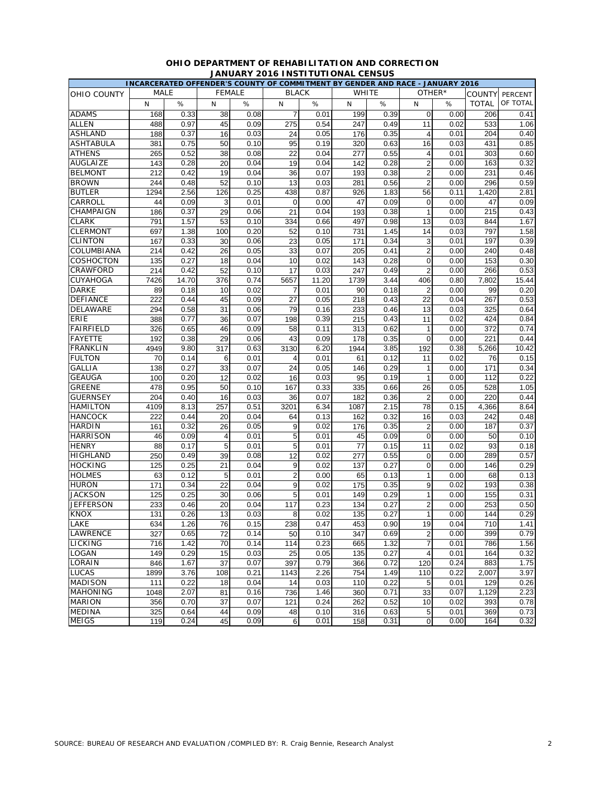|                  |      |       |                |      |                         |       |              |      | INCARCERATED OFFENDER'S COUNTY OF COMMITMENT BY GENDER AND RACE - JANUARY 2016 |        |                   |          |
|------------------|------|-------|----------------|------|-------------------------|-------|--------------|------|--------------------------------------------------------------------------------|--------|-------------------|----------|
| OHIO COUNTY      | MALE |       | <b>FEMALE</b>  |      | <b>BLACK</b>            |       | <b>WHITE</b> |      |                                                                                | OTHER* | COUNTY            | PERCENT  |
|                  | N    | $\%$  | N              | %    | N                       | $\%$  | N            | $\%$ | N                                                                              | %      | <b>TOTAL</b>      | OF TOTAL |
| <b>ADAMS</b>     | 168  | 0.33  | 38             | 0.08 | $\overline{7}$          | 0.01  | 199          | 0.39 | $\mathbf 0$                                                                    | 0.00   | 206               | 0.41     |
| <b>ALLEN</b>     | 488  | 0.97  | 45             | 0.09 | 275                     | 0.54  | 247          | 0.49 | 11                                                                             | 0.02   | 533               | 1.06     |
| <b>ASHLAND</b>   | 188  | 0.37  | 16             | 0.03 | 24                      | 0.05  | 176          | 0.35 | $\overline{4}$                                                                 | 0.01   | 204               | 0.40     |
| <b>ASHTABULA</b> | 381  | 0.75  | 50             | 0.10 | 95                      | 0.19  | 320          | 0.63 | 16                                                                             | 0.03   | 431               | 0.85     |
| <b>ATHENS</b>    | 265  | 0.52  | 38             | 0.08 | 22                      | 0.04  | 277          | 0.55 | $\overline{4}$                                                                 | 0.01   | 303               | 0.60     |
| <b>AUGLAIZE</b>  | 143  | 0.28  | 20             | 0.04 | 19                      | 0.04  | 142          | 0.28 | $\overline{2}$                                                                 | 0.00   | 163               | 0.32     |
| <b>BELMONT</b>   | 212  | 0.42  | 19             | 0.04 | 36                      | 0.07  | 193          | 0.38 | $\overline{c}$                                                                 | 0.00   | 231               | 0.46     |
| <b>BROWN</b>     | 244  | 0.48  | 52             | 0.10 | 13                      | 0.03  | 281          | 0.56 | $\overline{2}$                                                                 | 0.00   | 296               | 0.59     |
| <b>BUTLER</b>    | 1294 | 2.56  | 126            | 0.25 | 438                     | 0.87  | 926          | 1.83 | 56                                                                             | 0.11   | 1,420             | 2.81     |
| CARROLL          | 44   | 0.09  | 3              | 0.01 | 0                       | 0.00  | 47           | 0.09 | $\mathbf 0$                                                                    | 0.00   | 47                | 0.09     |
| CHAMPAIGN        | 186  | 0.37  | 29             | 0.06 | 21                      | 0.04  | 193          | 0.38 | $\mathbf{1}$                                                                   | 0.00   | 215               | 0.43     |
| <b>CLARK</b>     | 791  | 1.57  | 53             | 0.10 | 334                     | 0.66  | 497          | 0.98 | 13                                                                             | 0.03   | 844               | 1.67     |
| <b>CLERMONT</b>  | 697  | 1.38  | 100            | 0.20 | 52                      | 0.10  | 731          | 1.45 | 14                                                                             | 0.03   | 797               | 1.58     |
| <b>CLINTON</b>   | 167  | 0.33  | 30             | 0.06 | 23                      | 0.05  | 171          | 0.34 | 3                                                                              | 0.01   | 197               | 0.39     |
| COLUMBIANA       | 214  | 0.42  | 26             | 0.05 | 33                      | 0.07  | 205          | 0.41 | $\overline{2}$                                                                 | 0.00   | 240               | 0.48     |
| COSHOCTON        | 135  | 0.27  | 18             | 0.04 | 10                      | 0.02  | 143          | 0.28 | $\mathbf 0$                                                                    | 0.00   | 153               | 0.30     |
| CRAWFORD         | 214  | 0.42  | 52             | 0.10 | 17                      | 0.03  | 247          | 0.49 | $\overline{2}$                                                                 | 0.00   | 266               | 0.53     |
| CUYAHOGA         | 7426 | 14.70 | 376            | 0.74 | 5657                    | 11.20 | 1739         | 3.44 | 406                                                                            | 0.80   | 7,802             | 15.44    |
| <b>DARKE</b>     | 89   | 0.18  | 10             | 0.02 | $\overline{7}$          | 0.01  | 90           | 0.18 | $\overline{2}$                                                                 | 0.00   | 99                | 0.20     |
| <b>DEFIANCE</b>  | 222  | 0.44  | 45             | 0.09 | 27                      | 0.05  | 218          | 0.43 | 22                                                                             | 0.04   | 267               | 0.53     |
| DELAWARE         | 294  | 0.58  | 31             | 0.06 | 79                      | 0.16  | 233          | 0.46 | 13                                                                             | 0.03   | 325               | 0.64     |
| <b>ERIE</b>      | 388  | 0.77  | 36             | 0.07 | 198                     | 0.39  | 215          | 0.43 | 11                                                                             | 0.02   | 424               | 0.84     |
| <b>FAIRFIELD</b> | 326  | 0.65  | 46             | 0.09 | 58                      | 0.11  | 313          | 0.62 | $\mathbf{1}$                                                                   | 0.00   | 372               | 0.74     |
| <b>FAYETTE</b>   | 192  | 0.38  | 29             | 0.06 | 43                      | 0.09  | 178          | 0.35 | $\mathbf 0$                                                                    | 0.00   | 221               | 0.44     |
| <b>FRANKLIN</b>  | 4949 | 9.80  | 317            | 0.63 | 3130                    | 6.20  | 1944         | 3.85 | 192                                                                            | 0.38   | 5,266             | 10.42    |
| <b>FULTON</b>    | 70   | 0.14  | 6              | 0.01 | $\overline{\mathbf{4}}$ | 0.01  | 61           | 0.12 | 11                                                                             | 0.02   | 76                | 0.15     |
| <b>GALLIA</b>    | 138  | 0.27  | 33             | 0.07 | 24                      | 0.05  | 146          | 0.29 | 1                                                                              | 0.00   | 171               | 0.34     |
| <b>GEAUGA</b>    | 100  | 0.20  | 12             | 0.02 | 16                      | 0.03  | 95           | 0.19 | $\mathbf{1}$                                                                   | 0.00   | 112               | 0.22     |
| <b>GREENE</b>    | 478  | 0.95  | 50             | 0.10 | 167                     | 0.33  | 335          | 0.66 | 26                                                                             | 0.05   | 528               | 1.05     |
| GUERNSEY         | 204  | 0.40  | 16             | 0.03 | 36                      | 0.07  | 182          | 0.36 | $\overline{2}$                                                                 | 0.00   | 220               | 0.44     |
| <b>HAMILTON</b>  | 4109 | 8.13  | 257            | 0.51 | 3201                    | 6.34  | 1087         | 2.15 | 78                                                                             | 0.15   | 4,366             | 8.64     |
| <b>HANCOCK</b>   | 222  | 0.44  | 20             | 0.04 | 64                      | 0.13  | 162          | 0.32 | 16                                                                             | 0.03   | 242               | 0.48     |
| <b>HARDIN</b>    | 161  | 0.32  | 26             | 0.05 | 9                       | 0.02  | 176          | 0.35 | $\overline{2}$                                                                 | 0.00   | 187               | 0.37     |
| <b>HARRISON</b>  | 46   | 0.09  | $\overline{4}$ | 0.01 | 5                       | 0.01  | 45           | 0.09 | $\overline{0}$                                                                 | 0.00   | 50                | 0.10     |
| <b>HENRY</b>     | 88   | 0.17  | 5              | 0.01 | 5                       | 0.01  | 77           | 0.15 | 11                                                                             | 0.02   | 93                | 0.18     |
| <b>HIGHLAND</b>  | 250  | 0.49  | 39             | 0.08 | 12                      | 0.02  | 277          | 0.55 | $\mathbf 0$                                                                    | 0.00   | 289               | 0.57     |
| <b>HOCKING</b>   | 125  | 0.25  | 21             | 0.04 | 9                       | 0.02  | 137          | 0.27 | $\overline{0}$                                                                 | 0.00   | 146               | 0.29     |
| <b>HOLMES</b>    | 63   | 0.12  | 5              | 0.01 | $\overline{c}$          | 0.00  | 65           | 0.13 | $\mathbf{1}$                                                                   | 0.00   | 68                | 0.13     |
| <b>HURON</b>     | 171  | 0.34  | 22             | 0.04 | 9                       | 0.02  | 175          | 0.35 | 9                                                                              | 0.02   | 193               | 0.38     |
| <b>JACKSON</b>   | 125  | 0.25  | 30             | 0.06 | 5                       | 0.01  | 149          | 0.29 | $\mathbf{1}$                                                                   | 0.00   | 155               | 0.31     |
| <b>JEFFERSON</b> | 233  | 0.46  | 20             | 0.04 | 117                     | 0.23  | 134          | 0.27 | $\overline{c}$                                                                 | 0.00   | 253               | 0.50     |
| <b>KNOX</b>      | 131  | 0.26  | 13             | 0.03 | 8                       | 0.02  | 135          | 0.27 | 1                                                                              | 0.00   | 144               | 0.29     |
| LAKE             | 634  | 1.26  | 76             | 0.15 | 238                     | 0.47  | 453          | 0.90 | 19                                                                             | 0.04   | 710               | 1.41     |
| <b>LAWRENCE</b>  | 327  | 0.65  | 72             | 0.14 | 50                      | 0.10  | 347          | 0.69 | $\mathbf 2$                                                                    | 0.00   | 399               | 0.79     |
| <b>LICKING</b>   | 716  | 1.42  | 70             | 0.14 | 114                     | 0.23  | 665          | 1.32 | $\overline{7}$                                                                 | 0.01   | 786               | 1.56     |
| LOGAN            | 149  | 0.29  | 15             | 0.03 | 25                      | 0.05  | 135          | 0.27 | $\overline{4}$                                                                 | 0.01   | 164               | 0.32     |
| LORAIN           | 846  | 1.67  | 37             | 0.07 | 397                     | 0.79  | 366          | 0.72 | 120                                                                            | 0.24   | 883               | 1.75     |
| <b>LUCAS</b>     | 1899 | 3.76  | 108            | 0.21 | 1143                    | 2.26  | 754          | 1.49 | 110                                                                            | 0.22   | 2,007             | 3.97     |
| <b>MADISON</b>   | 111  | 0.22  | 18             | 0.04 | 14                      | 0.03  | 110          | 0.22 | 5                                                                              | 0.01   | 129               | 0.26     |
| <b>MAHONING</b>  | 1048 | 2.07  | 81             | 0.16 | 736                     | 1.46  | 360          | 0.71 | 33                                                                             | 0.07   | 1,129             | 2.23     |
| <b>MARION</b>    | 356  | 0.70  | 37             | 0.07 | 121                     | 0.24  | 262          | 0.52 | 10                                                                             | 0.02   | 393               | 0.78     |
| <b>MEDINA</b>    | 325  | 0.64  | 44             | 0.09 | 48                      | 0.10  | 316          | 0.63 | 5                                                                              | 0.01   | 369               | 0.73     |
| <b>MEIGS</b>     | 119  | 0.24  | 45             | 0.09 | 6                       | 0.01  | 158          | 0.31 | $\mathbf 0$                                                                    | 0.00   | $\frac{164}{164}$ | 0.32     |

# **OHIO DEPARTMENT OF REHABILITATION AND CORRECTION JANUARY 2016 INSTITUTIONAL CENSUS**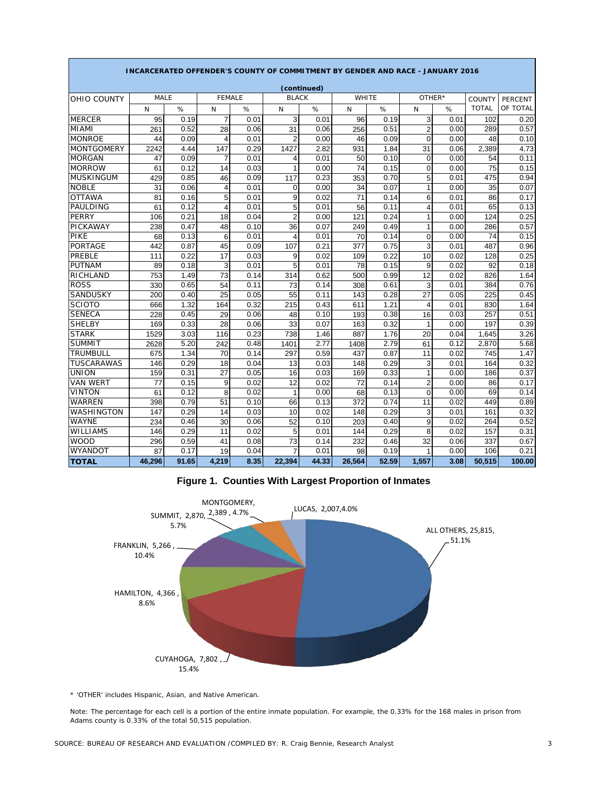|                   | INCARCERATED OFFENDER'S COUNTY OF COMMITMENT BY GENDER AND RACE - JANUARY 2016 |       |                |      |                |             |              |       |                |        |              |                |  |
|-------------------|--------------------------------------------------------------------------------|-------|----------------|------|----------------|-------------|--------------|-------|----------------|--------|--------------|----------------|--|
|                   |                                                                                |       |                |      |                | (continued) |              |       |                |        |              |                |  |
| OHIO COUNTY       | MALE                                                                           |       | <b>FEMALE</b>  |      | <b>BLACK</b>   |             | <b>WHITE</b> |       |                | OTHER* | COUNTY       | <b>PERCENT</b> |  |
|                   | N                                                                              | %     | N              | %    | N              | $\%$        | N            | %     | N              | %      | <b>TOTAL</b> | OF TOTAL       |  |
| <b>MERCER</b>     | 95                                                                             | 0.19  | $\overline{7}$ | 0.01 | 3              | 0.01        | 96           | 0.19  | 3              | 0.01   | 102          | 0.20           |  |
| <b>MIAMI</b>      | 261                                                                            | 0.52  | 28             | 0.06 | 31             | 0.06        | 256          | 0.51  | $\overline{2}$ | 0.00   | 289          | 0.57           |  |
| <b>MONROE</b>     | 44                                                                             | 0.09  | 4              | 0.01 | $\overline{2}$ | 0.00        | 46           | 0.09  | $\overline{0}$ | 0.00   | 48           | 0.10           |  |
| <b>MONTGOMERY</b> | 2242                                                                           | 4.44  | 147            | 0.29 | 1427           | 2.82        | 931          | 1.84  | 31             | 0.06   | 2,389        | 4.73           |  |
| <b>MORGAN</b>     | 47                                                                             | 0.09  | 7              | 0.01 | 4              | 0.01        | 50           | 0.10  | $\Omega$       | 0.00   | 54           | 0.11           |  |
| <b>MORROW</b>     | 61                                                                             | 0.12  | 14             | 0.03 | 1              | 0.00        | 74           | 0.15  | $\Omega$       | 0.00   | 75           | 0.15           |  |
| <b>MUSKINGUM</b>  | 429                                                                            | 0.85  | 46             | 0.09 | 117            | 0.23        | 353          | 0.70  | 5              | 0.01   | 475          | 0.94           |  |
| <b>NOBLE</b>      | 31                                                                             | 0.06  | 4              | 0.01 | 0              | 0.00        | 34           | 0.07  | $\mathbf{1}$   | 0.00   | 35           | 0.07           |  |
| <b>OTTAWA</b>     | 81                                                                             | 0.16  | 5              | 0.01 | 9              | 0.02        | 71           | 0.14  | 6              | 0.01   | 86           | 0.17           |  |
| PAULDING          | 61                                                                             | 0.12  | $\overline{4}$ | 0.01 | 5              | 0.01        | 56           | 0.11  | 4              | 0.01   | 65           | 0.13           |  |
| PERRY             | 106                                                                            | 0.21  | 18             | 0.04 | $\overline{2}$ | 0.00        | 121          | 0.24  | 1              | 0.00   | 124          | 0.25           |  |
| PICKAWAY          | 238                                                                            | 0.47  | 48             | 0.10 | 36             | 0.07        | 249          | 0.49  | $\mathbf{1}$   | 0.00   | 286          | 0.57           |  |
| PIKE              | 68                                                                             | 0.13  | 6              | 0.01 | 4              | 0.01        | 70           | 0.14  | $\overline{0}$ | 0.00   | 74           | 0.15           |  |
| <b>PORTAGE</b>    | 442                                                                            | 0.87  | 45             | 0.09 | 107            | 0.21        | 377          | 0.75  | 3              | 0.01   | 487          | 0.96           |  |
| PREBLE            | 111                                                                            | 0.22  | 17             | 0.03 | 9              | 0.02        | 109          | 0.22  | 10             | 0.02   | 128          | 0.25           |  |
| <b>PUTNAM</b>     | 89                                                                             | 0.18  | 3              | 0.01 | 5              | 0.01        | 78           | 0.15  | 9              | 0.02   | 92           | 0.18           |  |
| <b>RICHLAND</b>   | 753                                                                            | 1.49  | 73             | 0.14 | 314            | 0.62        | 500          | 0.99  | 12             | 0.02   | 826          | 1.64           |  |
| <b>ROSS</b>       | 330                                                                            | 0.65  | 54             | 0.11 | 73             | 0.14        | 308          | 0.61  | 3              | 0.01   | 384          | 0.76           |  |
| <b>SANDUSKY</b>   | 200                                                                            | 0.40  | 25             | 0.05 | 55             | 0.11        | 143          | 0.28  | 27             | 0.05   | 225          | 0.45           |  |
| <b>SCIOTO</b>     | 666                                                                            | 1.32  | 164            | 0.32 | 215            | 0.43        | 611          | 1.21  | $\overline{4}$ | 0.01   | 830          | 1.64           |  |
| <b>SENECA</b>     | 228                                                                            | 0.45  | 29             | 0.06 | 48             | 0.10        | 193          | 0.38  | 16             | 0.03   | 257          | 0.51           |  |
| <b>SHELBY</b>     | 169                                                                            | 0.33  | 28             | 0.06 | 33             | 0.07        | 163          | 0.32  | 1              | 0.00   | 197          | 0.39           |  |
| <b>STARK</b>      | 1529                                                                           | 3.03  | 116            | 0.23 | 738            | 1.46        | 887          | 1.76  | 20             | 0.04   | 1,645        | 3.26           |  |
| <b>SUMMIT</b>     | 2628                                                                           | 5.20  | 242            | 0.48 | 1401           | 2.77        | 1408         | 2.79  | 61             | 0.12   | 2,870        | 5.68           |  |
| <b>TRUMBULL</b>   | 675                                                                            | 1.34  | 70             | 0.14 | 297            | 0.59        | 437          | 0.87  | 11             | 0.02   | 745          | 1.47           |  |
| <b>TUSCARAWAS</b> | 146                                                                            | 0.29  | 18             | 0.04 | 13             | 0.03        | 148          | 0.29  | 3              | 0.01   | 164          | 0.32           |  |
| <b>UNION</b>      | 159                                                                            | 0.31  | 27             | 0.05 | 16             | 0.03        | 169          | 0.33  | $\mathbf{1}$   | 0.00   | 186          | 0.37           |  |
| <b>VAN WERT</b>   | 77                                                                             | 0.15  | 9              | 0.02 | 12             | 0.02        | 72           | 0.14  | $\overline{2}$ | 0.00   | 86           | 0.17           |  |
| <b>VINTON</b>     | 61                                                                             | 0.12  | 8              | 0.02 | 1              | 0.00        | 68           | 0.13  | $\Omega$       | 0.00   | 69           | 0.14           |  |
| <b>WARREN</b>     | 398                                                                            | 0.79  | 51             | 0.10 | 66             | 0.13        | 372          | 0.74  | 11             | 0.02   | 449          | 0.89           |  |
| <b>WASHINGTON</b> | 147                                                                            | 0.29  | 14             | 0.03 | 10             | 0.02        | 148          | 0.29  | 3              | 0.01   | 161          | 0.32           |  |
| <b>WAYNE</b>      | 234                                                                            | 0.46  | 30             | 0.06 | 52             | 0.10        | 203          | 0.40  | 9              | 0.02   | 264          | 0.52           |  |
| <b>WILLIAMS</b>   | 146                                                                            | 0.29  | 11             | 0.02 | 5              | 0.01        | 144          | 0.29  | 8              | 0.02   | 157          | 0.31           |  |
| <b>WOOD</b>       | 296                                                                            | 0.59  | 41             | 0.08 | 73             | 0.14        | 232          | 0.46  | 32             | 0.06   | 337          | 0.67           |  |
| <b>WYANDOT</b>    | 87                                                                             | 0.17  | 19             | 0.04 | $\overline{7}$ | 0.01        | 98           | 0.19  | 1              | 0.00   | 106          | 0.21           |  |
| <b>TOTAL</b>      | 46.296                                                                         | 91.65 | 4,219          | 8.35 | 22.394         | 44.33       | 26.564       | 52.59 | 1,557          | 3.08   | 50.515       | 100.00         |  |

**Figure 1. Counties With Largest Proportion of Inmates**



\* 'OTHER' includes Hispanic, Asian, and Native American.

Note: The percentage for each cell is a portion of the entire inmate population. For example, the 0.33% for the 168 males in prison from Adams county is 0.33% of the total 50,515 population.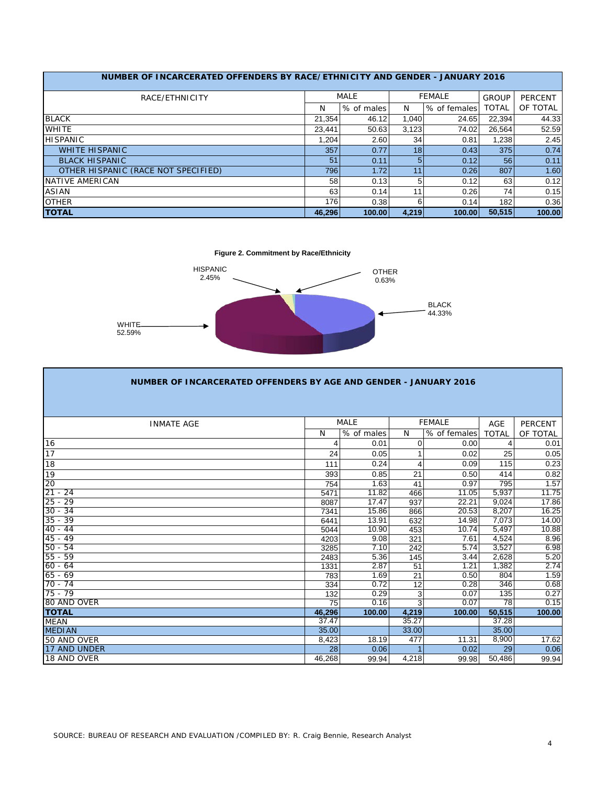| NUMBER OF INCARCERATED OFFENDERS BY RACE/ETHNICITY AND GENDER - JANUARY 2016 |        |             |       |               |              |          |
|------------------------------------------------------------------------------|--------|-------------|-------|---------------|--------------|----------|
| RACE/ETHNICITY                                                               |        | <b>MALE</b> |       | <b>FEMALE</b> | <b>GROUP</b> | PERCENT  |
|                                                                              | N      | % of males  | N     | % of females  | TOTAL        | OF TOTAL |
| <b>BLACK</b>                                                                 | 21.354 | 46.12       | 1.040 | 24.65         | 22,394       | 44.33    |
| <b>WHITE</b>                                                                 | 23.441 | 50.63       | 3.123 | 74.02         | 26.564       | 52.59    |
| <b>HISPANIC</b>                                                              | 1.204  | 2.60        | 34    | 0.81          | 1.238        | 2.45     |
| <b>WHITE HISPANIC</b>                                                        | 357    | 0.77        | 18    | 0.43          | 375          | 0.74     |
| <b>BLACK HISPANIC</b>                                                        | 51     | 0.11        | 5     | 0.12          | 56           | 0.11     |
| OTHER HISPANIC (RACE NOT SPECIFIED)                                          | 796    | 1.72        | 11    | 0.26          | 807          | 1.60     |
| NATIVE AMERICAN                                                              | 58     | 0.13        | 5     | 0.12          | 63           | 0.12     |
| <b>ASIAN</b>                                                                 | 63     | 0.14        | 11    | 0.26          | 74           | 0.15     |
| <b>OTHER</b>                                                                 | 176    | 0.38        | 6     | 0.14          | 182          | 0.36     |
| <b>TOTAL</b>                                                                 | 46.296 | 100.00      | 4,219 | 100.00        | 50.515       | 100.00   |

**Figure 2. Commitment by Race/Ethnicity**



| NUMBER OF INCARCERATED OFFENDERS BY AGE AND GENDER - JANUARY 2016 |        |             |       |               |              |                |
|-------------------------------------------------------------------|--------|-------------|-------|---------------|--------------|----------------|
|                                                                   |        |             |       |               |              |                |
| <b>INMATE AGE</b>                                                 |        | <b>MALE</b> |       | <b>FEMALE</b> | <b>AGE</b>   | <b>PERCENT</b> |
|                                                                   | N      | % of males  | N     | % of females  | <b>TOTAL</b> | OF TOTAL       |
| 16                                                                | 4      | 0.01        | 0     | 0.00          | 4            | 0.01           |
| 17                                                                | 24     | 0.05        | 1     | 0.02          | 25           | 0.05           |
| 18                                                                | 111    | 0.24        | 4     | 0.09          | 115          | 0.23           |
| 19                                                                | 393    | 0.85        | 21    | 0.50          | 414          | 0.82           |
| 20                                                                | 754    | 1.63        | 41    | 0.97          | 795          | 1.57           |
| $21 - 24$                                                         | 5471   | 11.82       | 466   | 11.05         | 5,937        | 11.75          |
| $25 - 29$                                                         | 8087   | 17.47       | 937   | 22.21         | 9.024        | 17.86          |
| $30 - 34$                                                         | 7341   | 15.86       | 866   | 20.53         | 8,207        | 16.25          |
| $35 - 39$                                                         | 6441   | 13.91       | 632   | 14.98         | 7,073        | 14.00          |
| $40 - 44$                                                         | 5044   | 10.90       | 453   | 10.74         | 5,497        | 10.88          |
| $45 - 49$                                                         | 4203   | 9.08        | 321   | 7.61          | 4,524        | 8.96           |
| $50 - 54$                                                         | 3285   | 7.10        | 242   | 5.74          | 3,527        | 6.98           |
| $55 - 59$                                                         | 2483   | 5.36        | 145   | 3.44          | 2.628        | 5.20           |
| $60 - 64$                                                         | 1331   | 2.87        | 51    | 1.21          | 1,382        | 2.74           |
| $65 - 69$                                                         | 783    | 1.69        | 21    | 0.50          | 804          | 1.59           |
| $70 - 74$                                                         | 334    | 0.72        | 12    | 0.28          | 346          | 0.68           |
| $75 - 79$                                                         | 132    | 0.29        | 3     | 0.07          | 135          | 0.27           |
| 80 AND OVER                                                       | 75     | 0.16        | 3     | 0.07          | 78           | 0.15           |
| <b>TOTAL</b>                                                      | 46,296 | 100.00      | 4,219 | 100.00        | 50,515       | 100.00         |
| <b>MEAN</b>                                                       | 37.47  |             | 35.27 |               | 37.28        |                |
| <b>MEDIAN</b>                                                     | 35.00  |             | 33.00 |               | 35.00        |                |
| 50 AND OVER                                                       | 8,423  | 18.19       | 477   | 11.31         | 8,900        | 17.62          |
| 17 AND UNDER                                                      | 28     | 0.06        |       | 0.02          | 29           | 0.06           |
| 18 AND OVER                                                       | 46,268 | 99.94       | 4,218 | 99.98         | 50,486       | 99.94          |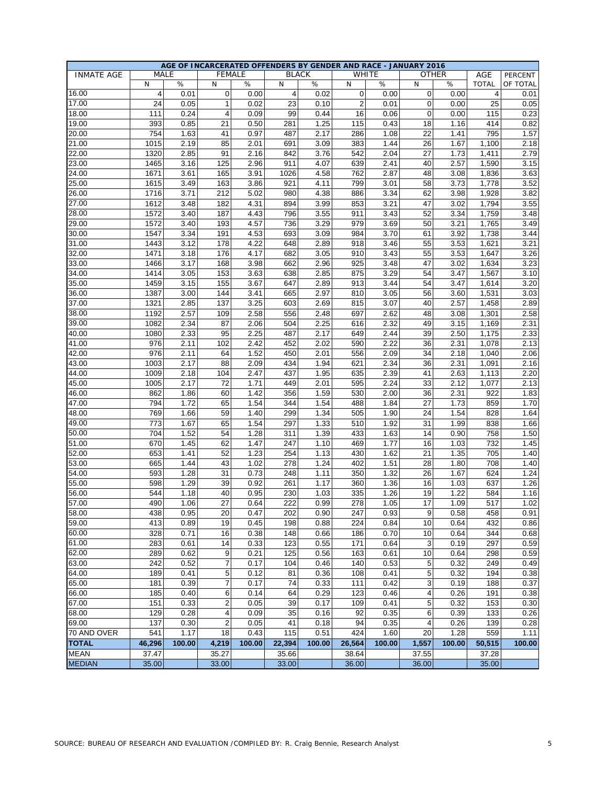|                   |                |        | AGE OF INCARCERATED OFFENDERS BY GENDER AND RACE - JANUARY 2016 |        |                         |              |        |        |             |        |                  |          |
|-------------------|----------------|--------|-----------------------------------------------------------------|--------|-------------------------|--------------|--------|--------|-------------|--------|------------------|----------|
| <b>INMATE AGE</b> |                | MALE   | <b>FEMALE</b>                                                   |        |                         | <b>BLACK</b> |        | WHITE  |             | OTHER  | AGE              | PERCENT  |
|                   | N              | $\%$   | N                                                               | %      | N                       | %            | N      | $\%$   | N           | $\%$   | <b>TOTAL</b>     | OF TOTAL |
| 16.00             | $\overline{4}$ | 0.01   | 0                                                               | 0.00   | $\overline{\mathbf{4}}$ | 0.02         | 0      | 0.00   | 0           | 0.00   | $\overline{4}$   | 0.01     |
| 17.00             | 24             | 0.05   | 1                                                               | 0.02   | 23                      | 0.10         | 2      | 0.01   | 0           | 0.00   | 25               | 0.05     |
| 18.00             | 111            | 0.24   | 4                                                               | 0.09   | 99                      | 0.44         | 16     | 0.06   | $\mathbf 0$ | 0.00   | 115              | 0.23     |
| 19.00             | 393            | 0.85   | 21                                                              | 0.50   | 281                     | 1.25         | 115    | 0.43   | 18          | 1.16   | 414              | 0.82     |
| 20.00             | 754            | 1.63   | 41                                                              | 0.97   | 487                     | 2.17         | 286    | 1.08   | 22          | 1.41   | 795              | 1.57     |
| 21.00             | 1015           | 2.19   | 85                                                              | 2.01   | 691                     | 3.09         | 383    | 1.44   | 26          | 1.67   | 1,100            | 2.18     |
| 22.00             | 1320           | 2.85   | 91                                                              | 2.16   | 842                     | 3.76         | 542    | 2.04   | 27          | 1.73   | 1,411            | 2.79     |
| 23.00             | 1465           | 3.16   | 125                                                             | 2.96   | 911                     | 4.07         | 639    | 2.41   | 40          | 2.57   | 1,590            | 3.15     |
| 24.00             | 1671           | 3.61   | 165                                                             | 3.91   | 1026                    | 4.58         | 762    | 2.87   | 48          | 3.08   | 1,836            | 3.63     |
| 25.00             | 1615           | 3.49   | 163                                                             | 3.86   | 921                     | 4.11         | 799    | 3.01   | 58          | 3.73   | 1,778            | 3.52     |
| 26.00             | 1716           | 3.71   | 212                                                             | 5.02   | 980                     | 4.38         | 886    | 3.34   | 62          | 3.98   | 1,928            | 3.82     |
| 27.00             | 1612           | 3.48   | 182                                                             | 4.31   | 894                     | 3.99         | 853    | 3.21   | 47          | 3.02   | 1,794            | 3.55     |
| 28.00             | 1572           | 3.40   | 187                                                             | 4.43   | 796                     | 3.55         | 911    | 3.43   | 52          | 3.34   | 1,759            | 3.48     |
| 29.00             | 1572           | 3.40   | 193                                                             | 4.57   | 736                     | 3.29         | 979    | 3.69   | 50          | 3.21   | 1,765            | 3.49     |
| 30.00             | 1547           | 3.34   | 191                                                             | 4.53   | 693                     | 3.09         | 984    | 3.70   | 61          | 3.92   | 1,738            | 3.44     |
| 31.00             | 1443           | 3.12   | 178                                                             | 4.22   | 648                     | 2.89         | 918    | 3.46   | 55          | 3.53   | 1,621            | 3.21     |
| 32.00             |                |        |                                                                 |        |                         |              |        |        |             |        |                  |          |
|                   | 1471           | 3.18   | 176                                                             | 4.17   | 682                     | 3.05         | 910    | 3.43   | 55          | 3.53   | 1,647            | 3.26     |
| 33.00             | 1466           | 3.17   | 168                                                             | 3.98   | 662                     | 2.96         | 925    | 3.48   | 47          | 3.02   | 1,634            | 3.23     |
| 34.00             | 1414           | 3.05   | 153                                                             | 3.63   | 638                     | 2.85         | 875    | 3.29   | 54          | 3.47   | 1,567            | 3.10     |
| 35.00             | 1459           | 3.15   | 155                                                             | 3.67   | 647                     | 2.89         | 913    | 3.44   | 54          | 3.47   | 1,614            | 3.20     |
| 36.00             | 1387           | 3.00   | 144                                                             | 3.41   | 665                     | 2.97         | 810    | 3.05   | 56          | 3.60   | 1,531            | 3.03     |
| 37.00             | 1321           | 2.85   | 137                                                             | 3.25   | 603                     | 2.69         | 815    | 3.07   | 40          | 2.57   | 1,458            | 2.89     |
| 38.00             | 1192           | 2.57   | 109                                                             | 2.58   | 556                     | 2.48         | 697    | 2.62   | 48          | 3.08   | 1,301            | 2.58     |
| 39.00             | 1082           | 2.34   | 87                                                              | 2.06   | 504                     | 2.25         | 616    | 2.32   | 49          | 3.15   | 1,169            | 2.31     |
| 40.00             | 1080           | 2.33   | 95                                                              | 2.25   | 487                     | 2.17         | 649    | 2.44   | 39          | 2.50   | 1,175            | 2.33     |
| 41.00             | 976            | 2.11   | 102                                                             | 2.42   | 452                     | 2.02         | 590    | 2.22   | 36          | 2.31   | 1,078            | 2.13     |
| 42.00             | 976            | 2.11   | 64                                                              | 1.52   | 450                     | 2.01         | 556    | 2.09   | 34          | 2.18   | 1,040            | 2.06     |
| 43.00             | 1003           | 2.17   | 88                                                              | 2.09   | 434                     | 1.94         | 621    | 2.34   | 36          | 2.31   | 1,091            | 2.16     |
| 44.00             | 1009           | 2.18   | 104                                                             | 2.47   | 437                     | 1.95         | 635    | 2.39   | 41          | 2.63   | 1,113            | 2.20     |
| 45.00             | 1005           | 2.17   | 72                                                              | 1.71   | 449                     | 2.01         | 595    | 2.24   | 33          | 2.12   | 1,077            | 2.13     |
| 46.00             | 862            | 1.86   | 60                                                              | 1.42   | 356                     | 1.59         | 530    | 2.00   | 36          | 2.31   | 922              | 1.83     |
| 47.00             | 794            | 1.72   | 65                                                              | 1.54   | 344                     | 1.54         | 488    | 1.84   | 27          | 1.73   | 859              | 1.70     |
| 48.00             | 769            | 1.66   | 59                                                              | 1.40   | 299                     | 1.34         | 505    | 1.90   | 24          | 1.54   | 828              | 1.64     |
| 49.00             | 773            | 1.67   | 65                                                              | 1.54   | 297                     | 1.33         | 510    | 1.92   | 31          | 1.99   | 838              | 1.66     |
| 50.00             | 704            | 1.52   | 54                                                              | 1.28   | 311                     | 1.39         | 433    | 1.63   | 14          | 0.90   | 758              | 1.50     |
| 51.00             | 670            | 1.45   | 62                                                              | 1.47   | 247                     | 1.10         | 469    | 1.77   | 16          | 1.03   | 732              | 1.45     |
| 52.00             | 653            | 1.41   | 52                                                              | 1.23   | 254                     | 1.13         | 430    | 1.62   | 21          | 1.35   | 705              | 1.40     |
| 53.00             | 665            | 1.44   | 43                                                              | 1.02   | 278                     | 1.24         | 402    | 1.51   | 28          | 1.80   | 708              | 1.40     |
| 54.00             | 593            | 1.28   | 31                                                              | 0.73   | 248                     | 1.11         | 350    | 1.32   | 26          | 1.67   | 624              | 1.24     |
| 55.00             | 598            | 1.29   | 39                                                              | 0.92   | 261                     | 1.17         | 360    | 1.36   | 16          | 1.03   | 637              | 1.26     |
| 56.00             | 544            | 1.18   | 40                                                              | 0.95   | 230                     | 1.03         | 335    | 1.26   | 19          | 1.22   | 584              | 1.16     |
| 57.00             | 490            | 1.06   | 27                                                              | 0.64   | 222                     | 0.99         | 278    | 1.05   | 17          | 1.09   | $\overline{517}$ | 1.02     |
| 58.00             | 438            | 0.95   | 20                                                              | 0.47   | 202                     | 0.90         | 247    | 0.93   | 9           | 0.58   | 458              | 0.91     |
| 59.00             | 413            | 0.89   | 19                                                              | 0.45   | 198                     | 0.88         | 224    | 0.84   | 10          | 0.64   | 432              | 0.86     |
| 60.00             | 328            | 0.71   | 16                                                              | 0.38   | 148                     | 0.66         | 186    | 0.70   | 10          | 0.64   | 344              | 0.68     |
| 61.00             | 283            | 0.61   | 14                                                              | 0.33   | 123                     | 0.55         | 171    | 0.64   | 3           | 0.19   | 297              | 0.59     |
| 62.00             | 289            | 0.62   | 9                                                               | 0.21   | 125                     | 0.56         | 163    | 0.61   | 10          | 0.64   | 298              | 0.59     |
|                   |                |        |                                                                 |        |                         |              |        |        |             |        |                  |          |
| 63.00             | 242            | 0.52   | 7                                                               | 0.17   | 104                     | 0.46         | 140    | 0.53   | 5           | 0.32   | 249              | 0.49     |
| 64.00             | 189            | 0.41   | 5                                                               | 0.12   | 81                      | 0.36         | 108    | 0.41   | 5           | 0.32   | 194              | 0.38     |
| 65.00             | 181            | 0.39   | 7                                                               | 0.17   | 74                      | 0.33         | 111    | 0.42   | 3           | 0.19   | 188              | 0.37     |
| 66.00             | 185            | 0.40   | 6                                                               | 0.14   | 64                      | 0.29         | 123    | 0.46   | 4           | 0.26   | 191              | 0.38     |
| 67.00             | 151            | 0.33   | $\overline{\mathbf{c}}$                                         | 0.05   | 39                      | 0.17         | 109    | 0.41   | 5           | 0.32   | 153              | 0.30     |
| 68.00             | 129            | 0.28   | 4                                                               | 0.09   | 35                      | 0.16         | 92     | 0.35   | 6           | 0.39   | 133              | 0.26     |
| 69.00             | 137            | 0.30   | $\overline{c}$                                                  | 0.05   | 41                      | 0.18         | 94     | 0.35   | 4           | 0.26   | 139              | 0.28     |
| 70 AND OVER       | 541            | 1.17   | 18                                                              | 0.43   | 115                     | 0.51         | 424    | 1.60   | 20          | 1.28   | 559              | 1.11     |
| <b>TOTAL</b>      | 46,296         | 100.00 | 4,219                                                           | 100.00 | 22,394                  | 100.00       | 26,564 | 100.00 | 1,557       | 100.00 | 50,515           | 100.00   |
| <b>MEAN</b>       | 37.47          |        | 35.27                                                           |        | 35.66                   |              | 38.64  |        | 37.55       |        | 37.28            |          |
| <b>MEDIAN</b>     | 35.00          |        | 33.00                                                           |        | 33.00                   |              | 36.00  |        | 36.00       |        | 35.00            |          |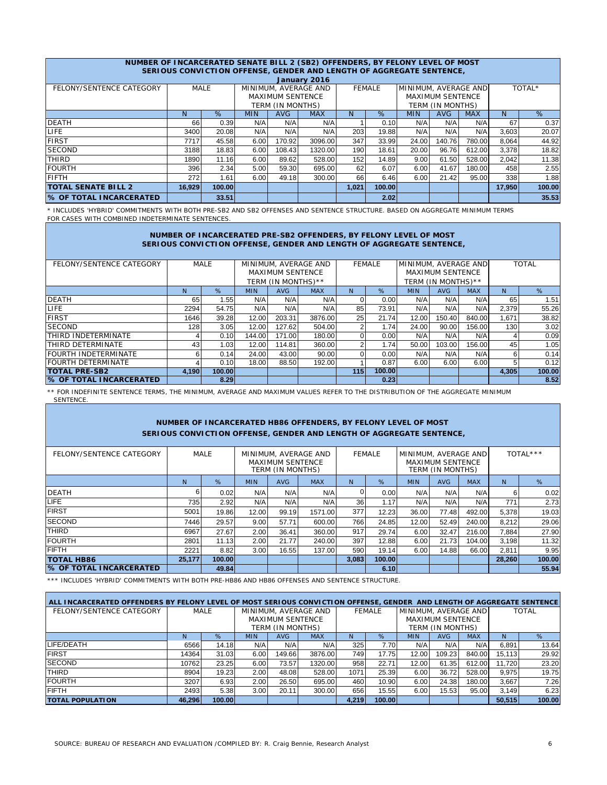|                                | NUMBER OF INCARCERATED SENATE BILL 2 (SB2) OFFENDERS, BY FELONY LEVEL OF MOST<br>SERIOUS CONVICTION OFFENSE, GENDER AND LENGTH OF AGGREGATE SENTENCE. |                                                                         |                                      |                         |                      |               |        |                      |                         |        |        |        |  |  |  |
|--------------------------------|-------------------------------------------------------------------------------------------------------------------------------------------------------|-------------------------------------------------------------------------|--------------------------------------|-------------------------|----------------------|---------------|--------|----------------------|-------------------------|--------|--------|--------|--|--|--|
|                                |                                                                                                                                                       |                                                                         |                                      |                         | January 2016         |               |        |                      |                         |        |        |        |  |  |  |
| FELONY/SENTENCE CATEGORY       |                                                                                                                                                       | <b>MALE</b>                                                             |                                      |                         | MINIMUM, AVERAGE AND | <b>FEMALE</b> |        | MINIMUM, AVERAGE AND |                         |        |        | TOTAL* |  |  |  |
|                                |                                                                                                                                                       |                                                                         |                                      | <b>MAXIMUM SENTENCE</b> |                      |               |        |                      | <b>MAXIMUM SENTENCE</b> |        |        |        |  |  |  |
|                                |                                                                                                                                                       |                                                                         | TERM (IN MONTHS)<br>TERM (IN MONTHS) |                         |                      |               |        |                      |                         |        |        |        |  |  |  |
|                                | %<br>%<br><b>MAX</b><br><b>AVG</b><br><b>MAX</b><br><b>MIN</b><br><b>AVG</b><br><b>MIN</b><br>N.<br>N                                                 |                                                                         |                                      |                         |                      |               |        |                      |                         | N      | %      |        |  |  |  |
| <b>DEATH</b>                   | 66                                                                                                                                                    | 0.39                                                                    | N/A                                  | N/A                     | N/A                  |               | 0.10   | N/A                  | N/A                     | N/A    | 67     | 0.37   |  |  |  |
| <b>LIFE</b>                    | 3400                                                                                                                                                  | 20.08                                                                   | N/A                                  | N/A                     | N/A                  | 203           | 19.88  | N/A                  | N/A                     | N/A    | 3,603  | 20.07  |  |  |  |
| <b>FIRST</b>                   | 7717                                                                                                                                                  | 45.58                                                                   | 6.00                                 | 170.92                  | 3096.00              | 347           | 33.99  | 24.00                | 140.76                  | 780.00 | 8,064  | 44.92  |  |  |  |
| <b>SECOND</b>                  | 3188                                                                                                                                                  | 18.83                                                                   | 6.00                                 | 108.43                  | 1320.00              | 190           | 18.61  | 20.00                | 96.76                   | 612.00 | 3,378  | 18.82  |  |  |  |
| <b>THIRD</b>                   | 1890                                                                                                                                                  | 11.16                                                                   | 6.00                                 | 89.62                   | 528.00               | 152           | 14.89  | 9.00                 | 61.50                   | 528.00 | 2,042  | 11.38  |  |  |  |
| <b>FOURTH</b>                  | 396                                                                                                                                                   | 2.34                                                                    | 5.00                                 | 59.30                   | 695.00               | 62            | 6.07   | 6.00                 | 41.67                   | 180.00 | 458    | 2.55   |  |  |  |
| <b>FIFTH</b>                   | 272                                                                                                                                                   | 6.00<br>49.18<br>300.00<br>6.00<br>21.42<br>95.00<br>1.61<br>66<br>6.46 |                                      |                         |                      |               |        |                      | 338                     | 1.88   |        |        |  |  |  |
| <b>TOTAL SENATE BILL 2</b>     | 16.929                                                                                                                                                | 100.00                                                                  |                                      |                         |                      | 1,021         | 100.00 |                      |                         |        | 17,950 | 100.00 |  |  |  |
| <b>% OF TOTAL INCARCERATED</b> |                                                                                                                                                       | 33.51                                                                   |                                      |                         |                      |               | 2.02   |                      |                         |        |        | 35.53  |  |  |  |

\* INCLUDES 'HYBRID' COMMITMENTS WITH BOTH PRE-SB2 AND SB2 OFFENSES AND SENTENCE STRUCTURE. BASED ON AGGREGATE MINIMUM TERMS FOR CASES WITH COMBINED INDETERMINATE SENTENCES.

### **NUMBER OF INCARCERATED PRE-SB2 OFFENDERS, BY FELONY LEVEL OF MOST SERIOUS CONVICTION OFFENSE, GENDER AND LENGTH OF AGGREGATE SENTENCE,**

| FELONY/SENTENCE CATEGORY       |       | <b>MALE</b> |            |                         | MINIMUM, AVERAGE AND | <b>FEMALE</b> |        | MINIMUM, AVERAGE AND |                         |            | <b>TOTAL</b> |        |  |
|--------------------------------|-------|-------------|------------|-------------------------|----------------------|---------------|--------|----------------------|-------------------------|------------|--------------|--------|--|
|                                |       |             |            | <b>MAXIMUM SENTENCE</b> |                      |               |        |                      | <b>MAXIMUM SENTENCE</b> |            |              |        |  |
|                                |       |             |            | TERM (IN MONTHS)**      |                      |               |        |                      | TERM (IN MONTHS)**      |            |              |        |  |
|                                | N     | %           | <b>MIN</b> | <b>AVG</b>              | <b>MAX</b>           | N             | %      | <b>MIN</b>           | <b>AVG</b>              | <b>MAX</b> | N            | %      |  |
| <b>DEATH</b>                   | 65    | 1.55        | N/A        | N/A                     | N/A                  |               | 0.00   | N/A                  | N/A                     | N/A        | 65           | 1.51   |  |
| <b>LIFE</b>                    | 2294  | 54.75       | N/A        | N/A                     | N/A                  | 85            | 73.91  | N/A                  | N/A                     | N/A        | 2.379        | 55.26  |  |
| <b>FIRST</b>                   | 1646  | 39.28       | 12.00      | 203.31                  | 3876.00              | 25            | 21.74  | 12.00                | 150.40                  | 840.00     | 1,671        | 38.82  |  |
| <b>SECOND</b>                  | 128   | 3.05        | 12.00      | 127.62                  | 504.00               | ົ             | 1.74   | 24.00                | 90.00                   | 156.00     | 130          | 3.02   |  |
| THIRD INDETERMINATE            |       | 0.10        | 144.00     | 171.00                  | 180.00               | 0             | 0.00   | N/A                  | N/A                     | N/A        | 4            | 0.09   |  |
| THIRD DETERMINATE              | 43    | 1.03        | 12.00      | 114.81                  | 360.00               | C             | 1.74   | 50.00                | 103.00                  | 156.00     | 45           | 1.05   |  |
| <b>FOURTH INDETERMINATE</b>    | 6     | 0.14        | 24.00      | 43.00                   | 90.00                |               | 0.00   | N/A                  | N/A                     | N/A        | 6            | 0.14   |  |
| <b>FOURTH DETERMINATE</b>      |       | 0.10        | 18.00      | 88.50                   | 192.00               |               | 0.87   | 6.00                 | 6.00                    | 6.00       | 5            | 0.12   |  |
| <b>TOTAL PRE-SB2</b>           | 4.190 | 100.00      |            |                         |                      | 115           | 100.00 |                      |                         |            | 4.305        | 100.00 |  |
| <b>S OF TOTAL INCARCERATED</b> |       | 8.29        |            |                         |                      |               | 0.23   |                      |                         |            |              | 8.52   |  |

\*\* FOR INDEFINITE SENTENCE TERMS, THE MINIMUM, AVERAGE AND MAXIMUM VALUES REFER TO THE DISTRIBUTION OF THE AGGREGATE MINIMUM SENTENCE.

## **NUMBER OF INCARCERATED HB86 OFFENDERS, BY FELONY LEVEL OF MOST SERIOUS CONVICTION OFFENSE, GENDER AND LENGTH OF AGGREGATE SENTENCE,**

| FELONY/SENTENCE CATEGORY       | MALE   |        | MINIMUM, AVERAGE AND<br><b>MAXIMUM SENTENCE</b><br>TERM (IN MONTHS) |            |            | <b>FEMALE</b>   |        | MINIMUM, AVERAGE AND<br><b>MAXIMUM SENTENCE</b><br>TERM (IN MONTHS) |            |            | TOTAL*** |        |
|--------------------------------|--------|--------|---------------------------------------------------------------------|------------|------------|-----------------|--------|---------------------------------------------------------------------|------------|------------|----------|--------|
|                                | N.     | $\%$   | <b>MIN</b>                                                          | <b>AVG</b> | <b>MAX</b> | N               | %      | <b>MIN</b>                                                          | <b>AVG</b> | <b>MAX</b> | N        | %      |
| <b>DEATH</b>                   | 6      | 0.02   | N/A                                                                 | N/A        | N/A        |                 | 0.00   | N/A                                                                 | N/A        | N/A        | 6        | 0.02   |
| <b>LIFE</b>                    | 735    | 2.92   | N/A                                                                 | N/A        | N/A        | 36 <sub>1</sub> | 1.17   | N/A                                                                 | N/A        | N/A        | 771      | 2.73   |
| <b>FIRST</b>                   | 5001   | 19.86  | 12.00                                                               | 99.19      | 1571.00    | 377             | 12.23  | 36.00                                                               | 77.48      | 492.00     | 5,378    | 19.03  |
| <b>SECOND</b>                  | 7446   | 29.57  | 9.00                                                                | 57.71      | 600.00     | 766             | 24.85  | 12.00                                                               | 52.49      | 240.00     | 8,212    | 29.06  |
| <b>THIRD</b>                   | 6967   | 27.67  | 2.00                                                                | 36.41      | 360.00     | 917             | 29.74  | 6.00                                                                | 32.47      | 216.00     | 7.884    | 27.90  |
| <b>FOURTH</b>                  | 2801   | 11.13  | 2.00                                                                | 21.77      | 240.00     | 397             | 12.88  | 6.00                                                                | 21.73      | 104.00     | 3,198    | 11.32  |
| <b>FIFTH</b>                   | 2221   | 8.82   | 3.00                                                                | 16.55      | 137.00     | 590             | 19.14  | 6.00                                                                | 14.88      | 66.00      | 2.811    | 9.95   |
| <b>TOTAL HB86</b>              | 25,177 | 100.00 |                                                                     |            |            | 3,083           | 100.00 |                                                                     |            |            | 28,260   | 100.00 |
| <b>S OF TOTAL INCARCERATED</b> |        | 49.84  |                                                                     |            |            |                 | 6.10   |                                                                     |            |            |          | 55.94  |

\*\*\* INCLUDES 'HYBRID' COMMITMENTS WITH BOTH PRE-HB86 AND HB86 OFFENSES AND SENTENCE STRUCTURE.

| ALL INCARCERATED OFFENDERS BY FELONY LEVEL OF MOST SERIOUS CONVICTION OFFENSE, GENDER AND LENGTH OF AGGREGATE SENTENCE |        |        |                         |        |            |               |        |                         |        |            |              |        |
|------------------------------------------------------------------------------------------------------------------------|--------|--------|-------------------------|--------|------------|---------------|--------|-------------------------|--------|------------|--------------|--------|
| FELONY/SENTENCE CATEGORY                                                                                               | MALE   |        | MINIMUM, AVERAGE AND    |        |            | <b>FEMALE</b> |        | MINIMUM, AVERAGE AND    |        |            | <b>TOTAL</b> |        |
|                                                                                                                        |        |        | <b>MAXIMUM SENTENCE</b> |        |            |               |        | <b>MAXIMUM SENTENCE</b> |        |            |              |        |
|                                                                                                                        |        |        | TERM (IN MONTHS)        |        |            |               |        | TERM (IN MONTHS)        |        |            |              |        |
|                                                                                                                        | N.     | %      | <b>MIN</b>              | AVG    | <b>MAX</b> | N             | %      | <b>MIN</b>              | AVG    | <b>MAX</b> |              | %      |
| LIFE/DEATH                                                                                                             | 6566   | 14.18  | N/A                     | N/A    | N/A        | 325           | 7.70   | N/A                     | N/A    | N/A        | 6,891        | 13.64  |
| <b>FIRST</b>                                                                                                           | 14364  | 31.03  | 6.00                    | 149.66 | 3876.00    | 749           | 17.75  | 12.00                   | 109.23 | 840.00     | 15.113       | 29.92  |
| <b>SECOND</b>                                                                                                          | 10762  | 23.25  | 6.00                    | 73.57  | 1320.00    | 958           | 22.71  | 12.00                   | 61.35  | 612.00     | 11.720       | 23.20  |
| <b>THIRD</b>                                                                                                           | 8904   | 19.23  | 2.00                    | 48.08  | 528.00     | 1071          | 25.39  | 6.00                    | 36.72  | 528.00     | 9.975        | 19.75  |
| <b>FOURTH</b>                                                                                                          | 3207   | 6.93   | 2.00                    | 26.50  | 695.00     | 460           | 10.90  | 6.00                    | 24.38  | 180.00     | 3.667        | 7.26   |
| <b>FIFTH</b>                                                                                                           | 2493   | 5.38   | 3.00                    | 20.11  | 300.00     | 656           | 15.55  | 6.00                    | 15.53  | 95.00      | 3.149        | 6.23   |
| <b>TOTAL POPULATION</b>                                                                                                | 46.296 | 100.00 |                         |        |            | 4.219         | 100.00 |                         |        |            | 50.515       | 100.00 |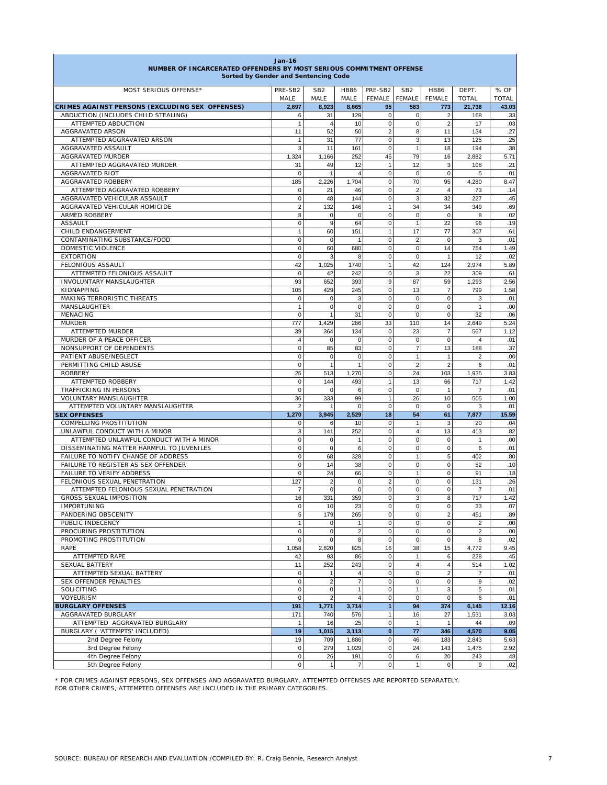| Jan-16<br>NUMBER OF INCARCERATED OFFENDERS BY MOST SERIOUS COMMITMENT OFFENSE<br>Sorted by Gender and Sentencing Code |                               |                               |                                  |                                 |                               |                              |                       |                      |  |  |
|-----------------------------------------------------------------------------------------------------------------------|-------------------------------|-------------------------------|----------------------------------|---------------------------------|-------------------------------|------------------------------|-----------------------|----------------------|--|--|
| MOST SERIOUS OFFENSE*                                                                                                 | PRE-SB2<br>MALE               | SB <sub>2</sub><br>MALE       | <b>HB86</b><br>MALE              | PRE-SB2<br><b>FEMALE</b>        | SB <sub>2</sub><br>FEMALE     | <b>HB86</b><br><b>FEMALE</b> | DEPT.<br><b>TOTAL</b> | % OF<br><b>TOTAL</b> |  |  |
| CRIMES AGAINST PERSONS (EXCLUDING SEX OFFENSES)                                                                       | 2,697                         | 8,923                         | 8,665                            | 95                              | 583                           | 773                          | 21,736                | 43.03                |  |  |
| ABDUCTION (INCLUDES CHILD STEALING)                                                                                   | 6                             | 31                            | 129                              | $\mathbf 0$                     | 0                             | $\overline{2}$               | 168                   | .33                  |  |  |
| ATTEMPTED ABDUCTION                                                                                                   | $\mathbf{1}$                  | $\overline{4}$                | 10                               | $\mathbf 0$                     | $\mathbf 0$                   | $\overline{2}$               | 17                    | .03                  |  |  |
| AGGRAVATED ARSON                                                                                                      | 11                            | 52                            | 50                               | $\overline{2}$                  | 8                             | 11                           | 134                   | .27                  |  |  |
| ATTEMPTED AGGRAVATED ARSON                                                                                            | 1                             | 31                            | 77                               | $\mathbf 0$                     | 3                             | 13                           | 125                   | .25                  |  |  |
| AGGRAVATED ASSAULT<br>AGGRAVATED MURDER                                                                               | 3<br>1,324                    | 11<br>1,166                   | 161<br>252                       | $\mathbf 0$<br>45               | $\overline{1}$<br>79          | 18<br>16                     | 194<br>2,882          | .38<br>5.71          |  |  |
| ATTEMPTED AGGRAVATED MURDER                                                                                           | 31                            | 49                            | 12                               | $\mathbf{1}$                    | 12                            | 3                            | 108                   | .21                  |  |  |
| <b>AGGRAVATED RIOT</b>                                                                                                | $\mathbf 0$                   | $\mathbf{1}$                  | $\overline{4}$                   | $\mathbf 0$                     | $\mathbf 0$                   | $\mathbf 0$                  | 5                     | .01                  |  |  |
| AGGRAVATED ROBBERY                                                                                                    | 185                           | 2,226                         | 1,704                            | $\Omega$                        | 70                            | 95                           | 4,280                 | 8.47                 |  |  |
| ATTEMPTED AGGRAVATED ROBBERY                                                                                          | 0                             | 21                            | 46                               | $\mathbf 0$                     | $\overline{2}$                | $\overline{4}$               | 73                    | .14                  |  |  |
| AGGRAVATED VEHICULAR ASSAULT                                                                                          | 0                             | 48                            | 144                              | $\mathbf 0$                     | 3                             | 32                           | 227                   | .45                  |  |  |
| AGGRAVATED VEHICULAR HOMICIDE                                                                                         | $\overline{2}$                | 132                           | 146                              | $\mathbf{1}$                    | 34                            | 34                           | 349                   | .69                  |  |  |
| <b>ARMED ROBBERY</b><br><b>ASSAULT</b>                                                                                | 8<br>$\mathbf 0$              | 0<br>9                        | $\mathbf 0$<br>64                | $\mathbf 0$<br>$\mathbf 0$      | $\mathbf 0$<br>$\overline{1}$ | $\mathbf 0$<br>22            | 8<br>96               | .02<br>.19           |  |  |
| CHILD ENDANGERMENT                                                                                                    | $\overline{1}$                | 60                            | 151                              | $\mathbf{1}$                    | 17                            | 77                           | 307                   | .61                  |  |  |
| CONTAMINATING SUBSTANCE/FOOD                                                                                          | 0                             | $\mathbf 0$                   | $\overline{1}$                   | $\pmb{0}$                       | $\overline{2}$                | $\mathbf 0$                  | 3                     | .01                  |  |  |
| DOMESTIC VIOLENCE                                                                                                     | 0                             | 60                            | 680                              | $\mathbf 0$                     | $\mathbf 0$                   | 14                           | 754                   | 1.49                 |  |  |
| <b>EXTORTION</b>                                                                                                      | $\mathbf 0$                   | 3                             | 8                                | $\mathbf 0$                     | $\mathbf 0$                   | $\overline{1}$               | 12                    | .02                  |  |  |
| FELONIOUS ASSAULT                                                                                                     | 42                            | 1,025                         | 1740                             | $\mathbf{1}$                    | 42                            | 124                          | 2,974                 | 5.89                 |  |  |
| ATTEMPTED FELONIOUS ASSAULT<br><b>INVOLUNTARY MANSLAUGHTER</b>                                                        | $\mathbf 0$                   | 42                            | 242                              | $\mathbf 0$                     | 3                             | 22                           | 309                   | .61                  |  |  |
| KIDNAPPING                                                                                                            | 93<br>105                     | 652<br>429                    | 393<br>245                       | $\boldsymbol{9}$<br>$\mathbf 0$ | 87<br>13                      | 59<br>$\overline{7}$         | 1,293<br>799          | 2.56<br>1.58         |  |  |
| MAKING TERRORISTIC THREATS                                                                                            | $\mathbf 0$                   | 0                             | 3                                | $\mathbf 0$                     | $\mathbf 0$                   | $\mathbf 0$                  | 3                     | .01                  |  |  |
| MANSLAUGHTER                                                                                                          | $\mathbf{1}$                  | $\mathsf 0$                   | $\mathbf 0$                      | $\mathbf 0$                     | $\mathbf 0$                   | $\mathbf 0$                  | $\mathbf{1}$          | .00                  |  |  |
| MENACING                                                                                                              | $\mathbf 0$                   | 1                             | 31                               | $\mathbf 0$                     | $\mathbf 0$                   | $\mathbf 0$                  | 32                    | .06                  |  |  |
| <b>MURDER</b>                                                                                                         | 777                           | 1,429                         | 286                              | 33                              | 110                           | 14                           | 2,649                 | 5.24                 |  |  |
| ATTEMPTED MURDER                                                                                                      | 39                            | 364                           | 134                              | $\mathbf 0$                     | 23                            | $\overline{7}$               | 567                   | 1.12                 |  |  |
| MURDER OF A PEACE OFFICER<br>NONSUPPORT OF DEPENDENTS                                                                 | $\overline{4}$<br>$\mathbf 0$ | 0<br>85                       | $\mathbf 0$<br>83                | $\mathbf 0$<br>$\Omega$         | $\mathbf 0$<br>$\overline{7}$ | $\mathbf 0$<br>13            | $\overline{4}$<br>188 | .01<br>.37           |  |  |
| PATIENT ABUSE/NEGLECT                                                                                                 | $\mathbf 0$                   | $\mathbf 0$                   | $\mathbf 0$                      | $\mathbf 0$                     | $\overline{1}$                | $\overline{1}$               | $\overline{2}$        | .00                  |  |  |
| PERMITTING CHILD ABUSE                                                                                                | $\mathbf 0$                   | $\mathbf{1}$                  | $\mathbf{1}$                     | $\mathbf 0$                     | $\overline{2}$                | $\overline{2}$               | 6                     | .01                  |  |  |
| <b>ROBBERY</b>                                                                                                        | 25                            | 513                           | 1,270                            | $\mathbf 0$                     | 24                            | 103                          | 1,935                 | 3.83                 |  |  |
| ATTEMPTED ROBBERY                                                                                                     | $\mathbf 0$                   | 144                           | 493                              | $\mathbf{1}$                    | 13                            | 66                           | 717                   | 1.42                 |  |  |
| TRAFFICKING IN PERSONS                                                                                                | $\mathbf 0$                   | 0                             | 6                                | $\mathbf 0$                     | $\mathbf 0$                   | $\mathbf{1}$                 | $\overline{7}$        | .01                  |  |  |
| VOLUNTARY MANSLAUGHTER<br>ATTEMPTED VOLUNTARY MANSLAUGHTER                                                            | 36<br>$\overline{2}$          | 333<br>1                      | 99<br>$\mathbf 0$                | $\mathbf{1}$<br>$\pmb{0}$       | 26<br>$\mathbf 0$             | 10<br>$\mathbf 0$            | 505<br>3              | 1.00<br>.01          |  |  |
| <b>SEX OFFENSES</b>                                                                                                   | 1,270                         | 3,945                         | 2,529                            | 18                              | 54                            | 61                           | 7,877                 | 15.59                |  |  |
| COMPELLING PROSTITUTION                                                                                               | 0                             | 6                             | 10                               | $\mathbf 0$                     | $\overline{1}$                | 3                            | 20                    | .04                  |  |  |
| UNLAWFUL CONDUCT WITH A MINOR                                                                                         | 3                             | 141                           | 252                              | $\mathbf 0$                     | $\overline{4}$                | 13                           | 413                   | .82                  |  |  |
| ATTEMPTED UNLAWFUL CONDUCT WITH A MINOR                                                                               | $\mathbf 0$                   | 0                             | $\mathbf{1}$                     | $\mathbf 0$                     | $\mathbf 0$                   | $\Omega$                     | 1                     | .00                  |  |  |
| DISSEMINATING MATTER HARMFUL TO JUVENILES                                                                             | 0                             | 0                             | 6                                | $\mathbf 0$                     | $\mathbf 0$                   | $\mathbf 0$                  | 6                     | .01                  |  |  |
| FAILURE TO NOTIFY CHANGE OF ADDRESS<br>FAILURE TO REGISTER AS SEX OFFENDER                                            | $\mathbf 0$                   | 68                            | 328                              | $\mathbf 0$<br>$\mathbf 0$      | $\overline{1}$                | 5                            | 402                   | .80                  |  |  |
| FAILURE TO VERIFY ADDRESS                                                                                             | 0<br>$\mathbf 0$              | 14<br>24                      | 38<br>66                         | $\mathbf 0$                     | $\mathbf 0$<br>$\mathbf{1}$   | $\mathbf 0$<br>$\mathbf 0$   | 52<br>91              | .10<br>.18           |  |  |
| FELONIOUS SEXUAL PENETRATION                                                                                          | 127                           | $\overline{2}$                | $\mathbf 0$                      | $\overline{2}$                  | $\mathbf 0$                   | $\mathbf 0$                  | 131                   | .26                  |  |  |
| ATTEMPTED FELONIOUS SEXUAL PENETRATION                                                                                | $\overline{7}$                | $\mathbf 0$                   | $\mathbf 0$                      | $\mathbf 0$                     | $\mathbf 0$                   | 0                            | $\overline{7}$        | .01                  |  |  |
| GROSS SEXUAL IMPOSITION                                                                                               | 16                            | 331                           | 359                              | $\mathbf 0$                     | 3                             | 8                            | 717                   | 1.42                 |  |  |
| IMPORTUNING                                                                                                           | 0                             | 10                            | 23                               | 0                               | $\Omega$                      | $\overline{0}$               | 33                    | .07                  |  |  |
| PANDERING OBSCENITY                                                                                                   | 5                             | 179                           | 265                              | $\mathbf 0$                     | $\mathbf 0$                   | $\overline{2}$               | 451                   | .89                  |  |  |
| PUBLIC INDECENCY<br>PROCURING PROSTITUTION                                                                            | $\mathbf{1}$<br>$\mathbf 0$   | $\mathbf 0$<br>$\mathsf 0$    | $\mathbf{1}$<br>$\boldsymbol{2}$ | $\mathbf 0$<br>$\pmb{0}$        | $\mathbf 0$<br>$\mathbf 0$    | $\mathbf 0$<br>$\mathbf 0$   | 2<br>$\overline{2}$   | .00<br>.00           |  |  |
| PROMOTING PROSTITUTION                                                                                                | $\mathbf 0$                   | $\mathbf 0$                   | 8                                | $\mathbf 0$                     | $\mathbf 0$                   | $\mathbf 0$                  | 8                     | .02                  |  |  |
| RAPE                                                                                                                  | 1,058                         | 2,820                         | 825                              | 16                              | 38                            | 15                           | 4,772                 | 9.45                 |  |  |
| ATTEMPTED RAPE                                                                                                        | 42                            | 93                            | 86                               | $\mathbf 0$                     | $\mathbf{1}$                  | 6                            | 228                   | .45                  |  |  |
| SEXUAL BATTERY                                                                                                        | 11                            | 252                           | 243                              | $\mathbf 0$                     | $\overline{4}$                | $\overline{4}$               | 514                   | 1.02                 |  |  |
| ATTEMPTED SEXUAL BATTERY                                                                                              | 0                             | 1                             | $\overline{4}$                   | $\pmb{0}$                       | $\mathbf 0$                   | $\overline{2}$               | $\overline{7}$        | .01                  |  |  |
| SEX OFFENDER PENALTIES                                                                                                | 0                             | $\overline{2}$<br>$\mathbf 0$ | $\overline{7}$                   | $\mathbf 0$<br>$\pmb{0}$        | $\mathbf 0$                   | $\mathbf 0$                  | 9<br>5                | .02                  |  |  |
| SOLICITING<br>VOYEURISM                                                                                               | 0<br>$\mathbf 0$              | $\overline{2}$                | $\mathbf{1}$<br>$\overline{4}$   | $\mathbf 0$                     | $\mathbf{1}$<br>$\mathbf 0$   | 3<br>$\mathbf 0$             | 6                     | .01<br>.01           |  |  |
| <b>BURGLARY OFFENSES</b>                                                                                              | 191                           | 1,771                         | 3,714                            | $\mathbf{1}$                    | 94                            | 374                          | 6,145                 | 12.16                |  |  |
| AGGRAVATED BURGLARY                                                                                                   | 171                           | 740                           | 576                              | $\mathbf{1}$                    | 16                            | 27                           | 1,531                 | 3.03                 |  |  |
| ATTEMPTED AGGRAVATED BURGLARY                                                                                         | $\mathbf{1}$                  | 16                            | 25                               | $\bf 0$                         | $\mathbf{1}$                  | $\mathbf{1}$                 | 44                    | .09                  |  |  |
| BURGLARY ('ATTEMPTS' INCLUDED)                                                                                        | 19                            | 1,015                         | 3,113                            | $\pmb{0}$                       | 77                            | 346                          | 4,570                 | 9.05                 |  |  |
| 2nd Degree Felony                                                                                                     | 19                            | 709                           | 1,886                            | $\pmb{0}$                       | 46                            | 183                          | 2,843                 | 5.63                 |  |  |
| 3rd Degree Felony<br>4th Degree Felony                                                                                | 0<br>0                        | 279<br>26                     | 1,029<br>191                     | $\mathbf 0$<br>$\mathbf 0$      | 24<br>6                       | 143<br>20                    | 1,475<br>243          | 2.92<br>.48          |  |  |
| 5th Degree Felony                                                                                                     | 0                             | $\mathbf{1}$                  | $\overline{7}$                   | $\pmb{0}$                       | $\mathbf{1}$                  | $\mathbf 0$                  | 9                     | .02                  |  |  |
|                                                                                                                       |                               |                               |                                  |                                 |                               |                              |                       |                      |  |  |

\* FOR CRIMES AGAINST PERSONS, SEX OFFENSES AND AGGRAVATED BURGLARY, ATTEMPTED OFFENSES ARE REPORTED SEPARATELY. FOR OTHER CRIMES, ATTEMPTED OFFENSES ARE INCLUDED IN THE PRIMARY CATEGORIES.

Г

٦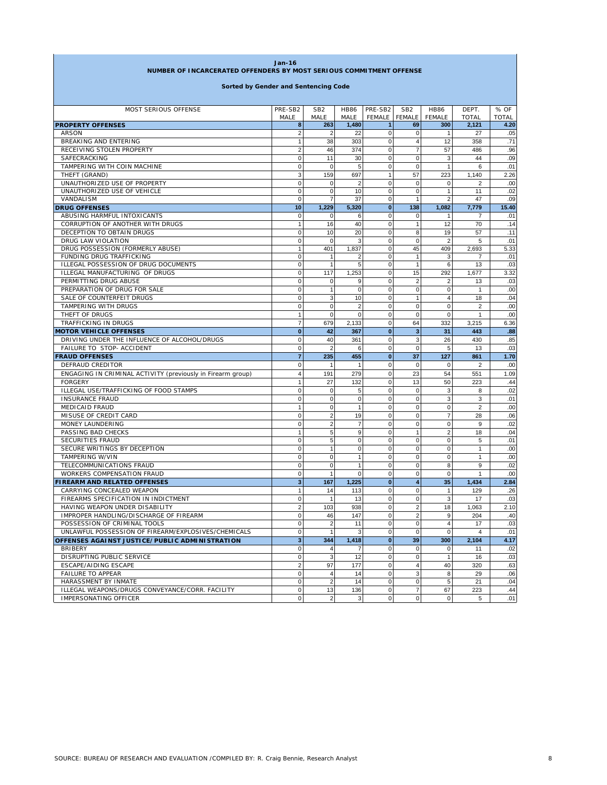| Jan-16<br>NUMBER OF INCARCERATED OFFENDERS BY MOST SERIOUS COMMITMENT OFFENSE |                         |                 |                |              |                         |                |                |              |  |                                      |
|-------------------------------------------------------------------------------|-------------------------|-----------------|----------------|--------------|-------------------------|----------------|----------------|--------------|--|--------------------------------------|
|                                                                               |                         |                 |                |              |                         |                |                |              |  | Sorted by Gender and Sentencing Code |
| MOST SERIOUS OFFENSE                                                          | PRE-SB2                 | SB <sub>2</sub> | <b>HB86</b>    | PRE-SB2      | SB <sub>2</sub>         | <b>HB86</b>    | DEPT.          | % OF         |  |                                      |
|                                                                               | MALE                    | MALE            | MALE           | FEMALE       | <b>FEMALE</b>           | <b>FEMALE</b>  | <b>TOTAL</b>   | <b>TOTAL</b> |  |                                      |
| <b>PROPERTY OFFENSES</b>                                                      | 8                       | 263             | 1,480          | $\mathbf{1}$ | 69                      | 300            | 2,121          | 4.20         |  |                                      |
| <b>ARSON</b>                                                                  | $\overline{\mathbf{c}}$ | $\overline{c}$  | 22             | $\pmb{0}$    | 0                       | $\mathbf{1}$   | 27             | .05          |  |                                      |
| BREAKING AND ENTERING                                                         | 1                       | 38              | 303            | $\pmb{0}$    | 4                       | 12             | 358            | .71          |  |                                      |
| RECEIVING STOLEN PROPERTY                                                     | $\overline{2}$          | 46              | 374            | $\mathbf 0$  | $\overline{7}$          | 57             | 486            | .96          |  |                                      |
| SAFECRACKING                                                                  | $\mathbf 0$             | 11              | 30             | $\mathbf 0$  | $\mathbf 0$             | 3              | 44             | .09          |  |                                      |
| TAMPERING WITH COIN MACHINE                                                   | 0                       | $\mathbf 0$     | 5              | $\pmb{0}$    | $\bf 0$                 | $\overline{1}$ | 6              | .01          |  |                                      |
| THEFT (GRAND)                                                                 | 3                       | 159             | 697            | $\mathbf{1}$ | 57                      | 223            | 1,140          | 2.26         |  |                                      |
| UNAUTHORIZED USE OF PROPERTY                                                  | $\mathbf 0$             | 0               | $\overline{2}$ | $\mathbf 0$  | 0                       | $\mathbf 0$    | $\overline{2}$ | .00          |  |                                      |
| UNAUTHORIZED USE OF VEHICLE                                                   | $\mathbf 0$             | $\mathbf 0$     | 10             | $\mathbf 0$  | $\mathbf 0$             | $\overline{1}$ | 11             | .02          |  |                                      |
| VANDALISM                                                                     | 0                       | $\overline{7}$  | 37             | $\mathbf 0$  | $\overline{1}$          | $\overline{2}$ | 47             | .09          |  |                                      |
| <b>DRUG OFFENSES</b>                                                          | 10                      | 1,229           | 5,320          | $\mathbf{0}$ | 138                     | 1,082          | 7,779          | 15.40        |  |                                      |
| ABUSING HARMFUL INTOXICANTS                                                   | 0                       | $\pmb{0}$       | 6              | $\pmb{0}$    | 0                       | $\mathbf{1}$   | 7              | .01          |  |                                      |
| CORRUPTION OF ANOTHER WITH DRUGS                                              | $\mathbf{1}$            | 16              | 40             | $\pmb{0}$    | $\mathbf{1}$            | 12             | 70             | .14          |  |                                      |
| DECEPTION TO OBTAIN DRUGS                                                     | 0                       | 10              | 20             | $\mathbf 0$  | 8                       | 19             | 57             | .11          |  |                                      |
| DRUG LAW VIOLATION                                                            | 0                       | $\mathbf 0$     | 3              | $\mathbf 0$  | $\bf 0$                 | $\overline{2}$ | 5              | .01          |  |                                      |
| DRUG POSSESSION (FORMERLY ABUSE)                                              | 1                       | 401             | 1,837          | $\pmb{0}$    | 45                      | 409            | 2,693          | 5.33         |  |                                      |
| FUNDING DRUG TRAFFICKING                                                      | 0                       | $\mathbf{1}$    | 2              | $\mathbf 0$  | $\mathbf{1}$            | 3              | $\overline{7}$ | .01          |  |                                      |
| ILLEGAL POSSESSION OF DRUG DOCUMENTS                                          | 0                       | $\mathbf{1}$    | 5              | $\mathbf 0$  | $\overline{1}$          | 6              | 13             | .03          |  |                                      |
| ILLEGAL MANUFACTURING OF DRUGS                                                | $\mathbf 0$             | 117             | 1,253          | $\mathbf 0$  | 15                      | 292            | 1,677          | 3.32         |  |                                      |
| PERMITTING DRUG ABUSE                                                         | $\mathbf 0$             | $\mathbf 0$     | 9              | $\pmb{0}$    | $\overline{2}$          | $\overline{2}$ | 13             | .03          |  |                                      |
| PREPARATION OF DRUG FOR SALE                                                  | $\mathbf 0$             | $\mathbf{1}$    | $\mathbf 0$    | $\pmb{0}$    | $\mathbf 0$             | $\mathbf 0$    | $\mathbf{1}$   | .00          |  |                                      |
| SALE OF COUNTERFEIT DRUGS                                                     | $\mathbf 0$             | 3               | 10             | $\mathbf 0$  | $\mathbf{1}$            | $\overline{4}$ | 18             | .04          |  |                                      |
| TAMPERING WITH DRUGS                                                          | 0                       | $\mathbf 0$     | $\overline{2}$ | $\mathbf 0$  | 0                       | 0              | 2              | .00          |  |                                      |
| THEFT OF DRUGS                                                                | 1                       | $\mathbf 0$     | $\mathbf 0$    | $\mathbf 0$  | $\mathbf 0$             | $\mathbf 0$    | $\mathbf{1}$   | .00          |  |                                      |
| TRAFFICKING IN DRUGS                                                          | 7                       | 679             | 2,133          | $\pmb{0}$    | 64                      | 332            | 3,215          | 6.36         |  |                                      |
| <b>MOTOR VEHICLE OFFENSES</b>                                                 | $\bf{0}$                | 42              | 367            | $\pmb{0}$    | 3                       | 31             | 443            | .88          |  |                                      |
| DRIVING UNDER THE INFLUENCE OF ALCOHOL/DRUGS                                  | $\mathbf 0$             | 40              | 361            | $\mathbf 0$  | 3                       | 26             | 430            | .85          |  |                                      |
| FAILURE TO STOP- ACCIDENT                                                     | 0                       | $\overline{2}$  | 6              | $\pmb{0}$    | $\mathbf 0$             | 5              | 13             | .03          |  |                                      |
| <b>FRAUD OFFENSES</b>                                                         | $\overline{7}$          | 235             | 455            | $\mathbf{0}$ | 37                      | 127            | 861            | 1.70         |  |                                      |
| DEFRAUD CREDITOR                                                              | 0                       | $\mathbf{1}$    | 1              | $\pmb{0}$    | $\mathbf 0$             | $\mathbf 0$    | 2              | .00          |  |                                      |
| ENGAGING IN CRIMINAL ACTIVITY (previously in Firearm group)                   | 4                       | 191             | 279            | $\mathbf 0$  | 23                      | 54             | 551            | 1.09         |  |                                      |
| <b>FORGERY</b>                                                                | $\overline{1}$          | 27              | 132            | $\pmb{0}$    | 13                      | 50             | 223            | .44          |  |                                      |
| ILLEGAL USE/TRAFFICKING OF FOOD STAMPS                                        | 0                       | $\mathbf 0$     | 5              | $\pmb{0}$    | $\mathbf 0$             | 3              | 8              | .02          |  |                                      |
| <b>INSURANCE FRAUD</b>                                                        | $\mathbf 0$             | $\mathbf 0$     | $\mathbf 0$    | $\mathbf 0$  | $\mathbf 0$             | 3              | 3              | .01          |  |                                      |
| MEDICAID FRAUD                                                                | 1                       | $\mathbf 0$     | $\mathbf{1}$   | $\pmb{0}$    | 0                       | $\mathbf 0$    | $\overline{2}$ | .00          |  |                                      |
| MISUSE OF CREDIT CARD                                                         | $\mathbf 0$             | $\overline{2}$  | 19             | $\mathbf 0$  | $\mathbf 0$             | $\overline{7}$ | 28             | .06          |  |                                      |
| MONEY LAUNDERING                                                              | $\mathbf 0$             | $\overline{2}$  | $\overline{7}$ | $\mathbf 0$  | $\mathbf 0$             | $\mathbf 0$    | 9              | .02          |  |                                      |
| PASSING BAD CHECKS                                                            | $\overline{1}$          | $\sqrt{5}$      | 9              | $\pmb{0}$    | $\mathbf{1}$            | $\overline{2}$ | 18             | .04          |  |                                      |
| SECURITIES FRAUD                                                              | $\mathbf 0$             | 5               | 0              | $\mathbf 0$  | $\mathbf 0$             | $\Omega$       | 5              | .01          |  |                                      |
| SECURE WRITINGS BY DECEPTION                                                  | 0                       | $\mathbf{1}$    | $\mathbf 0$    | $\mathbf 0$  | 0                       | 0              | $\mathbf{1}$   | .00          |  |                                      |
| TAMPERING W/VIN                                                               | $\mathbf 0$             | 0               | $\mathbf{1}$   | $\mathbf 0$  | $\mathbf 0$             | $\mathbf 0$    | $\mathbf{1}$   | .00          |  |                                      |
| TELECOMMUNICATIONS FRAUD                                                      | 0                       | $\mathbf 0$     | 1              | $\mathbf 0$  | $\mathbf 0$             | 8              | 9              | .02          |  |                                      |
| WORKERS COMPENSATION FRAUD                                                    | 0                       | $\mathbf{1}$    | 0              | $\mathbf 0$  | $\mathbf 0$             | $\mathbf 0$    | $\mathbf{1}$   | .00          |  |                                      |
| <b>FIREARM AND RELATED OFFENSES</b>                                           | 3                       | 167             | 1,225          | $\bf{0}$     | 4                       | 35             | 1,434          | 2.84         |  |                                      |
| CARRYING CONCEALED WEAPON                                                     | 1                       | 14              | 113            | $\mathbf 0$  | 0                       | $\mathbf{1}$   | 129            | .26          |  |                                      |
| FIREARMS SPECIFICATION IN INDICTMENT                                          | $\mathbf 0$             | $\mathbf{1}$    | 13             | $\mathbf 0$  | $\mathbf 0$             | 3              | 17             | .03          |  |                                      |
| HAVING WEAPON UNDER DISABILITY                                                | $\overline{\mathbf{c}}$ | 103             | 938            | $\mathbf 0$  | $\overline{\mathbf{c}}$ | 18             | 1,063          | 2.10         |  |                                      |
| IMPROPER HANDLING/DISCHARGE OF FIREARM                                        | $\mathbf 0$             | 46              | 147            | $\mathbf 0$  | $\overline{2}$          | 9              | 204            | .40          |  |                                      |
| POSSESSION OF CRIMINAL TOOLS                                                  | $\mathbf 0$             | $\overline{2}$  | 11             | $\mathbf 0$  | $\mathbf 0$             | $\overline{4}$ | 17             | .03          |  |                                      |
| UNLAWFUL POSSESSION OF FIREARM/EXPLOSIVES/CHEMICALS                           | $\mathbf 0$             | $\mathbf{1}$    | 3              | $\mathbf 0$  | 0                       | $\mathbf 0$    | $\overline{4}$ | .01          |  |                                      |
| OFFENSES AGAINST JUSTICE/PUBLIC ADMINISTRATION                                | 3                       | 344             | 1,418          | $\bullet$    | 39                      | 300            | 2,104          | 4.17         |  |                                      |
| <b>BRIBERY</b>                                                                | 0                       | $\overline{4}$  | $\overline{7}$ | $\mathbf 0$  | 0                       | $\mathbf 0$    | 11             | .02          |  |                                      |
| DISRUPTING PUBLIC SERVICE                                                     | 0                       | $\mathbf 3$     | 12             | $\mathbf 0$  | $\mathbf 0$             | $\mathbf{1}$   | 16             | .03          |  |                                      |
| ESCAPE/AIDING ESCAPE                                                          | $\overline{2}$          | 97              | 177            | $\mathbf 0$  | $\overline{4}$          | 40             | 320            | .63          |  |                                      |
| <b>FAILURE TO APPEAR</b>                                                      | $\mathbf 0$             | $\overline{4}$  | 14             | $\mathbf 0$  | 3                       | 8              | 29             | .06          |  |                                      |
| HARASSMENT BY INMATE                                                          | $\mathbf 0$             | $\overline{2}$  | 14             | $\mathbf 0$  | 0                       | 5              | 21             | .04          |  |                                      |
| ILLEGAL WEAPONS/DRUGS CONVEYANCE/CORR. FACILITY                               | 0                       | 13              | 136            | $\mathbf 0$  | $\overline{7}$          | 67             | 223            | .44          |  |                                      |
| IMPERSONATING OFFICER                                                         | $\mathbf 0$             | $\overline{2}$  | 3              | $\mathsf 0$  | $\pmb{0}$               | $\mathbf 0$    | 5              | .01          |  |                                      |

**CONTRACTOR** 

 $\mathbf{r}$